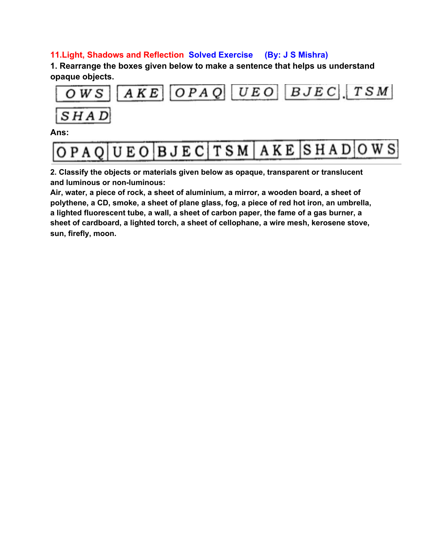## **11.Light, Shadows and Reflection Solved Exercise (By: J S Mishra)**

**1. Rearrange the boxes given below to make a sentence that helps us understand opaque objects.**



**Ans:**

| OPAQUEO BJECTSM AKE SHADOWS |  |  |
|-----------------------------|--|--|
|                             |  |  |

**2. Classify the objects or materials given below as opaque, transparent or translucent and luminous or non-luminous:**

**Air, water, a piece of rock, a sheet of aluminium, a mirror, a wooden board, a sheet of polythene, a CD, smoke, a sheet of plane glass, fog, a piece of red hot iron, an umbrella, a lighted fluorescent tube, a wall, a sheet of carbon paper, the fame of a gas burner, a sheet of cardboard, a lighted torch, a sheet of cellophane, a wire mesh, kerosene stove, sun, firefly, moon.**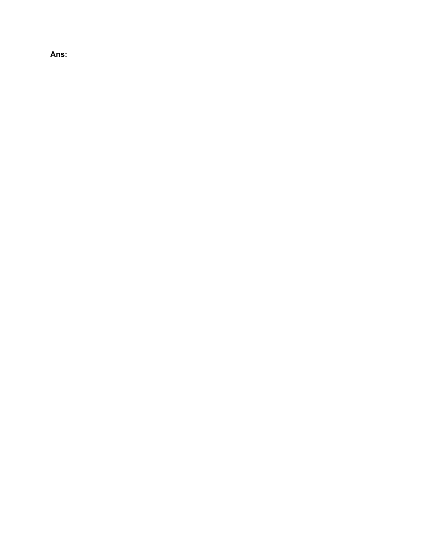**Ans:**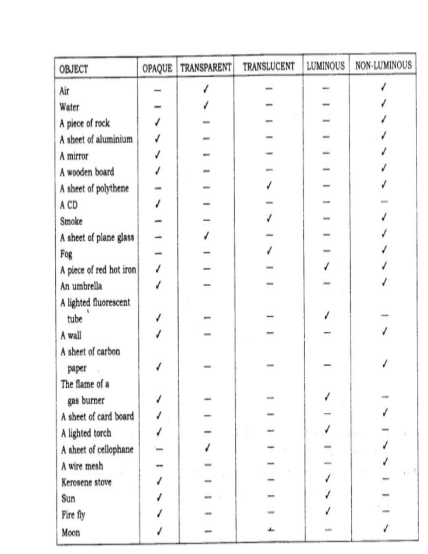| <b>OBJECT</b>           | OPAQUE | TRANSPARENT | TRANSLUCENT | LUMINOUS | NON-LUMINOUS |
|-------------------------|--------|-------------|-------------|----------|--------------|
| Air                     |        |             |             |          |              |
| Water                   |        |             |             |          |              |
| A piece of rock         |        |             |             |          |              |
| A sheet of aluminium    |        |             |             |          |              |
| A mirror                |        |             |             |          |              |
| A wooden board          |        |             |             |          |              |
| A sheet of polythene    |        |             |             |          |              |
| A CD                    |        |             |             |          |              |
| Smoke                   |        |             |             |          |              |
| A sheet of plane glass  |        |             |             |          |              |
| Fog                     |        |             |             |          |              |
| A piece of red hot iron |        |             |             |          |              |
| An umbrella             |        |             |             |          |              |
| A lighted fluorescent   |        |             |             |          |              |
| tube                    |        |             |             |          |              |
| A wall                  |        |             |             |          |              |
| A sheet of carbon       |        |             |             |          |              |
| paper                   |        |             |             |          |              |
| The flame of a          |        |             |             |          |              |
| gas burner              |        |             | attem       |          |              |
| A sheet of card board   |        |             |             |          |              |
| A lighted torch         |        |             |             |          |              |
| A sheet of cellophane   |        |             |             |          |              |
| A wire mesh             |        |             |             |          |              |
| Kerosene stove          |        |             |             |          |              |
| Sun                     |        |             |             |          |              |
| Fire fly                |        |             |             |          |              |
| Moon                    |        |             |             | side is  |              |